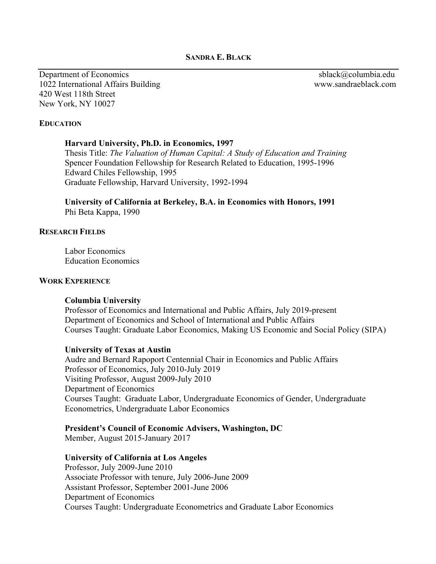**SANDRA E. BLACK**

Department of Economics sblack@columbia.edu 1022 International Affairs Building www.sandraeblack.com 420 West 118th Street New York, NY 10027

### **EDUCATION**

#### **Harvard University, Ph.D. in Economics, 1997**

Thesis Title: *The Valuation of Human Capital: A Study of Education and Training* Spencer Foundation Fellowship for Research Related to Education, 1995-1996 Edward Chiles Fellowship, 1995 Graduate Fellowship, Harvard University, 1992-1994

**University of California at Berkeley, B.A. in Economics with Honors, 1991** Phi Beta Kappa, 1990

#### **RESEARCH FIELDS**

Labor Economics Education Economics

#### **WORK EXPERIENCE**

#### **Columbia University**

Professor of Economics and International and Public Affairs, July 2019-present Department of Economics and School of International and Public Affairs Courses Taught: Graduate Labor Economics, Making US Economic and Social Policy (SIPA)

#### **University of Texas at Austin**

Audre and Bernard Rapoport Centennial Chair in Economics and Public Affairs Professor of Economics, July 2010-July 2019 Visiting Professor, August 2009-July 2010 Department of Economics Courses Taught: Graduate Labor, Undergraduate Economics of Gender, Undergraduate Econometrics, Undergraduate Labor Economics

#### **President's Council of Economic Advisers, Washington, DC**

Member, August 2015-January 2017

#### **University of California at Los Angeles**

Professor, July 2009-June 2010 Associate Professor with tenure, July 2006-June 2009 Assistant Professor, September 2001-June 2006 Department of Economics Courses Taught: Undergraduate Econometrics and Graduate Labor Economics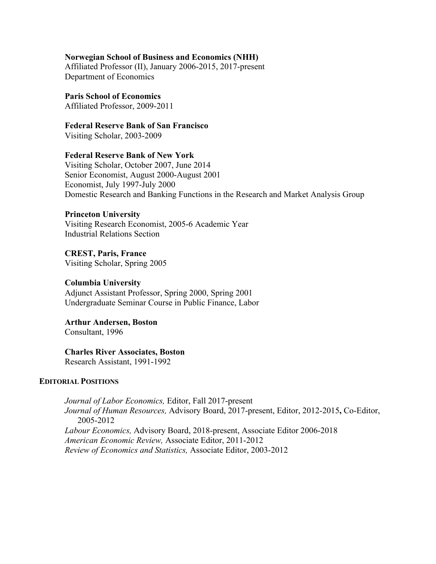### **Norwegian School of Business and Economics (NHH)**

Affiliated Professor (II), January 2006-2015, 2017-present Department of Economics

**Paris School of Economics** Affiliated Professor, 2009-2011

**Federal Reserve Bank of San Francisco**

Visiting Scholar, 2003-2009

## **Federal Reserve Bank of New York**

Visiting Scholar, October 2007, June 2014 Senior Economist, August 2000-August 2001 Economist, July 1997-July 2000 Domestic Research and Banking Functions in the Research and Market Analysis Group

### **Princeton University**

Visiting Research Economist, 2005-6 Academic Year Industrial Relations Section

**CREST, Paris, France** Visiting Scholar, Spring 2005

### **Columbia University**

Adjunct Assistant Professor, Spring 2000, Spring 2001 Undergraduate Seminar Course in Public Finance, Labor

**Arthur Andersen, Boston**  Consultant, 1996

## **Charles River Associates, Boston**

Research Assistant, 1991-1992

### **EDITORIAL POSITIONS**

*Journal of Labor Economics,* Editor, Fall 2017-present *Journal of Human Resources,* Advisory Board, 2017-present, Editor, 2012-2015**,** Co-Editor, 2005-2012 *Labour Economics,* Advisory Board, 2018-present, Associate Editor 2006-2018 *American Economic Review,* Associate Editor, 2011-2012 *Review of Economics and Statistics,* Associate Editor, 2003-2012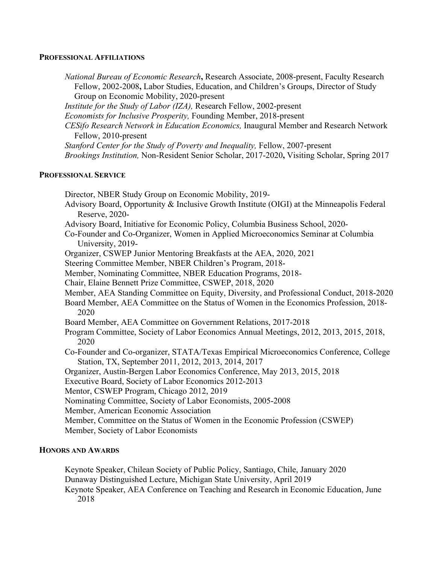#### **PROFESSIONAL AFFILIATIONS**

*National Bureau of Economic Research***,** Research Associate, 2008-present, Faculty Research Fellow, 2002-2008**,** Labor Studies, Education, and Children's Groups, Director of Study Group on Economic Mobility, 2020-present

*Institute for the Study of Labor (IZA),* Research Fellow, 2002-present

*Economists for Inclusive Prosperity,* Founding Member, 2018-present

*CESifo Research Network in Education Economics,* Inaugural Member and Research Network Fellow, 2010-present

*Stanford Center for the Study of Poverty and Inequality,* Fellow, 2007-present

*Brookings Institution,* Non-Resident Senior Scholar, 2017-2020**,** Visiting Scholar, Spring 2017

#### **PROFESSIONAL SERVICE**

Director, NBER Study Group on Economic Mobility, 2019-

Advisory Board, Opportunity & Inclusive Growth Institute (OIGI) at the Minneapolis Federal Reserve, 2020-

Advisory Board, Initiative for Economic Policy, Columbia Business School, 2020-

Co-Founder and Co-Organizer, Women in Applied Microeconomics Seminar at Columbia University, 2019-

Organizer, CSWEP Junior Mentoring Breakfasts at the AEA, 2020, 2021

Steering Committee Member, NBER Children's Program, 2018-

Member, Nominating Committee, NBER Education Programs, 2018-

Chair, Elaine Bennett Prize Committee, CSWEP, 2018, 2020

Member, AEA Standing Committee on Equity, Diversity, and Professional Conduct, 2018-2020

Board Member, AEA Committee on the Status of Women in the Economics Profession, 2018- 2020

- Board Member, AEA Committee on Government Relations, 2017-2018
- Program Committee, Society of Labor Economics Annual Meetings, 2012, 2013, 2015, 2018, 2020
- Co-Founder and Co-organizer, STATA/Texas Empirical Microeconomics Conference, College Station, TX, September 2011, 2012, 2013, 2014, 2017

Organizer, Austin-Bergen Labor Economics Conference, May 2013, 2015, 2018

Executive Board, Society of Labor Economics 2012-2013

Mentor, CSWEP Program, Chicago 2012, 2019

Nominating Committee, Society of Labor Economists, 2005-2008

Member, American Economic Association

Member, Committee on the Status of Women in the Economic Profession (CSWEP)

Member, Society of Labor Economists

### **HONORS AND AWARDS**

Keynote Speaker, Chilean Society of Public Policy, Santiago, Chile, January 2020 Dunaway Distinguished Lecture, Michigan State University, April 2019 Keynote Speaker, AEA Conference on Teaching and Research in Economic Education, June 2018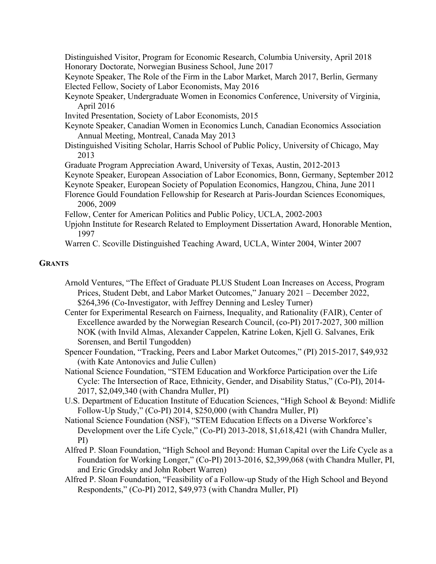Distinguished Visitor, Program for Economic Research, Columbia University, April 2018 Honorary Doctorate, Norwegian Business School, June 2017

Keynote Speaker, The Role of the Firm in the Labor Market, March 2017, Berlin, Germany Elected Fellow, Society of Labor Economists, May 2016

- Keynote Speaker, Undergraduate Women in Economics Conference, University of Virginia, April 2016
- Invited Presentation, Society of Labor Economists, 2015
- Keynote Speaker, Canadian Women in Economics Lunch, Canadian Economics Association Annual Meeting, Montreal, Canada May 2013
- Distinguished Visiting Scholar, Harris School of Public Policy, University of Chicago, May 2013
- Graduate Program Appreciation Award, University of Texas, Austin, 2012-2013
- Keynote Speaker, European Association of Labor Economics, Bonn, Germany, September 2012
- Keynote Speaker, European Society of Population Economics, Hangzou, China, June 2011
- Florence Gould Foundation Fellowship for Research at Paris-Jourdan Sciences Economiques, 2006, 2009
- Fellow, Center for American Politics and Public Policy, UCLA, 2002-2003
- Upjohn Institute for Research Related to Employment Dissertation Award, Honorable Mention, 1997
- Warren C. Scoville Distinguished Teaching Award, UCLA, Winter 2004, Winter 2007

#### **GRANTS**

- Arnold Ventures, "The Effect of Graduate PLUS Student Loan Increases on Access, Program Prices, Student Debt, and Labor Market Outcomes," January 2021 – December 2022, \$264,396 (Co-Investigator, with Jeffrey Denning and Lesley Turner)
- Center for Experimental Research on Fairness, Inequality, and Rationality (FAIR), Center of Excellence awarded by the Norwegian Research Council, (co-PI) 2017-2027, 300 million NOK (with Invild Almas, Alexander Cappelen, Katrine Loken, Kjell G. Salvanes, Erik Sorensen, and Bertil Tungodden)
- Spencer Foundation, "Tracking, Peers and Labor Market Outcomes," (PI) 2015-2017, \$49,932 (with Kate Antonovics and Julie Cullen)
- National Science Foundation, "STEM Education and Workforce Participation over the Life Cycle: The Intersection of Race, Ethnicity, Gender, and Disability Status," (Co-PI), 2014- 2017, \$2,049,340 (with Chandra Muller, PI)
- U.S. Department of Education Institute of Education Sciences, "High School & Beyond: Midlife Follow-Up Study," (Co-PI) 2014, \$250,000 (with Chandra Muller, PI)
- National Science Foundation (NSF), "STEM Education Effects on a Diverse Workforce's Development over the Life Cycle," (Co-PI) 2013-2018, \$1,618,421 (with Chandra Muller, PI)
- Alfred P. Sloan Foundation, "High School and Beyond: Human Capital over the Life Cycle as a Foundation for Working Longer," (Co-PI) 2013-2016, \$2,399,068 (with Chandra Muller, PI, and Eric Grodsky and John Robert Warren)
- Alfred P. Sloan Foundation, "Feasibility of a Follow-up Study of the High School and Beyond Respondents," (Co-PI) 2012, \$49,973 (with Chandra Muller, PI)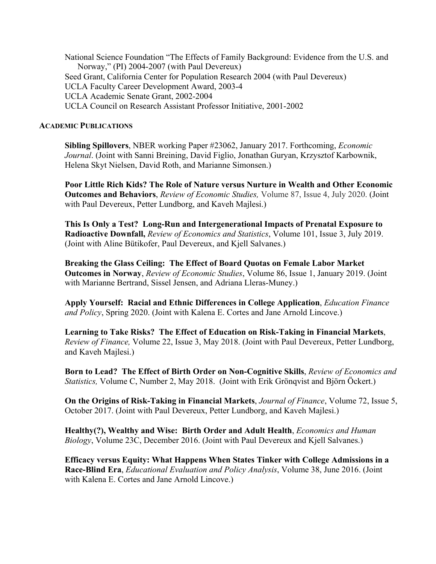National Science Foundation "The Effects of Family Background: Evidence from the U.S. and Norway," (PI) 2004-2007 (with Paul Devereux) Seed Grant, California Center for Population Research 2004 (with Paul Devereux) UCLA Faculty Career Development Award, 2003-4 UCLA Academic Senate Grant, 2002-2004 UCLA Council on Research Assistant Professor Initiative, 2001-2002

#### **ACADEMIC PUBLICATIONS**

**Sibling Spillovers**, NBER working Paper #23062, January 2017. Forthcoming, *Economic Journal*. (Joint with Sanni Breining, David Figlio, Jonathan Guryan, Krzysztof Karbownik, Helena Skyt Nielsen, David Roth, and Marianne Simonsen.)

**Poor Little Rich Kids? The Role of Nature versus Nurture in Wealth and Other Economic Outcomes and Behaviors**, *Review of Economic Studies,* Volume 87, Issue 4, July 2020. (Joint with Paul Devereux, Petter Lundborg, and Kaveh Majlesi.)

**This Is Only a Test? Long-Run and Intergenerational Impacts of Prenatal Exposure to Radioactive Downfall,** *Review of Economics and Statistics*, Volume 101, Issue 3, July 2019. (Joint with Aline Bütikofer, Paul Devereux, and Kjell Salvanes.)

**Breaking the Glass Ceiling: The Effect of Board Quotas on Female Labor Market Outcomes in Norway**, *Review of Economic Studies*, Volume 86, Issue 1, January 2019. (Joint with Marianne Bertrand, Sissel Jensen, and Adriana Lleras-Muney.)

**Apply Yourself: Racial and Ethnic Differences in College Application**, *Education Finance and Policy*, Spring 2020. (Joint with Kalena E. Cortes and Jane Arnold Lincove.)

**Learning to Take Risks? The Effect of Education on Risk-Taking in Financial Markets**, *Review of Finance,* Volume 22, Issue 3, May 2018. (Joint with Paul Devereux, Petter Lundborg, and Kaveh Majlesi.)

**Born to Lead? The Effect of Birth Order on Non-Cognitive Skills**, *Review of Economics and Statistics,* Volume C, Number 2, May 2018. (Joint with Erik Grönqvist and Björn Öckert.)

**On the Origins of Risk-Taking in Financial Markets**, *Journal of Finance*, Volume 72, Issue 5, October 2017. (Joint with Paul Devereux, Petter Lundborg, and Kaveh Majlesi.)

**Healthy(?), Wealthy and Wise: Birth Order and Adult Health**, *Economics and Human Biology*, Volume 23C, December 2016. (Joint with Paul Devereux and Kjell Salvanes.)

**Efficacy versus Equity: What Happens When States Tinker with College Admissions in a Race-Blind Era**, *Educational Evaluation and Policy Analysis*, Volume 38, June 2016. (Joint with Kalena E. Cortes and Jane Arnold Lincove.)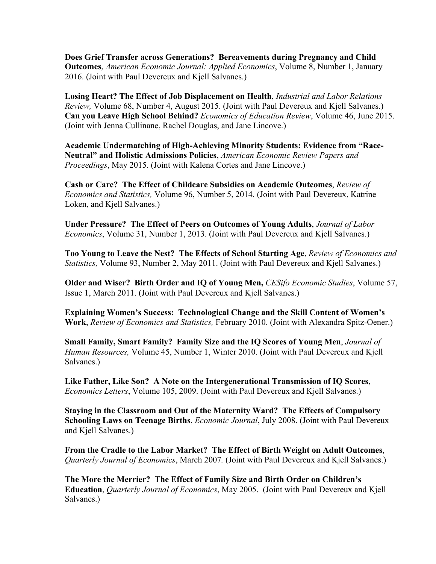**Does Grief Transfer across Generations? Bereavements during Pregnancy and Child Outcomes**, *American Economic Journal: Applied Economics*, Volume 8, Number 1, January 2016. (Joint with Paul Devereux and Kjell Salvanes.)

**Losing Heart? The Effect of Job Displacement on Health**, *Industrial and Labor Relations Review,* Volume 68, Number 4, August 2015. (Joint with Paul Devereux and Kjell Salvanes.) **Can you Leave High School Behind?** *Economics of Education Review*, Volume 46, June 2015. (Joint with Jenna Cullinane, Rachel Douglas, and Jane Lincove.)

**Academic Undermatching of High-Achieving Minority Students: Evidence from "Race-Neutral" and Holistic Admissions Policies**, *American Economic Review Papers and Proceedings*, May 2015. (Joint with Kalena Cortes and Jane Lincove.)

**Cash or Care? The Effect of Childcare Subsidies on Academic Outcomes**, *Review of Economics and Statistics,* Volume 96, Number 5, 2014. (Joint with Paul Devereux, Katrine Loken, and Kjell Salvanes.)

**Under Pressure? The Effect of Peers on Outcomes of Young Adults**, *Journal of Labor Economics*, Volume 31, Number 1, 2013. (Joint with Paul Devereux and Kjell Salvanes.)

**Too Young to Leave the Nest? The Effects of School Starting Age**, *Review of Economics and Statistics,* Volume 93, Number 2, May 2011. (Joint with Paul Devereux and Kjell Salvanes.)

**Older and Wiser? Birth Order and IQ of Young Men,** *CESifo Economic Studies*, Volume 57, Issue 1, March 2011. (Joint with Paul Devereux and Kjell Salvanes.)

**Explaining Women's Success: Technological Change and the Skill Content of Women's Work**, *Review of Economics and Statistics,* February 2010. (Joint with Alexandra Spitz-Oener.)

**Small Family, Smart Family? Family Size and the IQ Scores of Young Men**, *Journal of Human Resources,* Volume 45, Number 1, Winter 2010. (Joint with Paul Devereux and Kjell Salvanes.)

**Like Father, Like Son? A Note on the Intergenerational Transmission of IQ Scores**, *Economics Letters*, Volume 105, 2009. (Joint with Paul Devereux and Kjell Salvanes.)

**Staying in the Classroom and Out of the Maternity Ward? The Effects of Compulsory Schooling Laws on Teenage Births**, *Economic Journal*, July 2008. (Joint with Paul Devereux and Kjell Salvanes.)

**From the Cradle to the Labor Market? The Effect of Birth Weight on Adult Outcomes**, *Quarterly Journal of Economics*, March 2007*.* (Joint with Paul Devereux and Kjell Salvanes.)

**The More the Merrier? The Effect of Family Size and Birth Order on Children's Education**, *Quarterly Journal of Economics*, May 2005. (Joint with Paul Devereux and Kjell Salvanes.)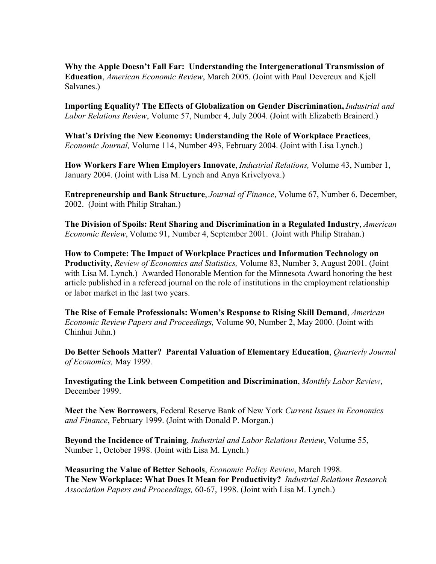**Why the Apple Doesn't Fall Far: Understanding the Intergenerational Transmission of Education**, *American Economic Review*, March 2005. (Joint with Paul Devereux and Kjell Salvanes.)

**Importing Equality? The Effects of Globalization on Gender Discrimination,** *Industrial and Labor Relations Review*, Volume 57, Number 4, July 2004. (Joint with Elizabeth Brainerd.)

**What's Driving the New Economy: Understanding the Role of Workplace Practices**, *Economic Journal,* Volume 114, Number 493, February 2004. (Joint with Lisa Lynch.)

**How Workers Fare When Employers Innovate**, *Industrial Relations,* Volume 43, Number 1, January 2004. (Joint with Lisa M. Lynch and Anya Krivelyova.)

**Entrepreneurship and Bank Structure**, *Journal of Finance*, Volume 67, Number 6, December, 2002. (Joint with Philip Strahan.)

**The Division of Spoils: Rent Sharing and Discrimination in a Regulated Industry**, *American Economic Review*, Volume 91, Number 4, September 2001. (Joint with Philip Strahan.)

**How to Compete: The Impact of Workplace Practices and Information Technology on Productivity**, *Review of Economics and Statistics,* Volume 83, Number 3, August 2001. (Joint with Lisa M. Lynch.) Awarded Honorable Mention for the Minnesota Award honoring the best article published in a refereed journal on the role of institutions in the employment relationship or labor market in the last two years.

**The Rise of Female Professionals: Women's Response to Rising Skill Demand**, *American Economic Review Papers and Proceedings,* Volume 90, Number 2, May 2000. (Joint with Chinhui Juhn.)

**Do Better Schools Matter? Parental Valuation of Elementary Education**, *Quarterly Journal of Economics,* May 1999.

**Investigating the Link between Competition and Discrimination**, *Monthly Labor Review*, December 1999.

**Meet the New Borrowers**, Federal Reserve Bank of New York *Current Issues in Economics and Finance*, February 1999. (Joint with Donald P. Morgan.)

**Beyond the Incidence of Training**, *Industrial and Labor Relations Review*, Volume 55, Number 1, October 1998. (Joint with Lisa M. Lynch.)

**Measuring the Value of Better Schools**, *Economic Policy Review*, March 1998. **The New Workplace: What Does It Mean for Productivity?** *Industrial Relations Research Association Papers and Proceedings,* 60-67, 1998. (Joint with Lisa M. Lynch.)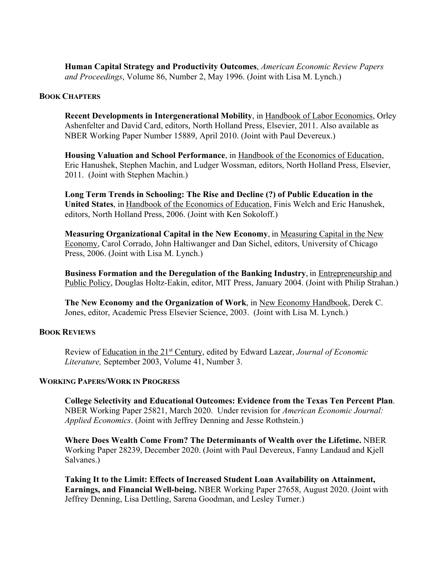**Human Capital Strategy and Productivity Outcomes**, *American Economic Review Papers and Proceedings*, Volume 86, Number 2, May 1996. (Joint with Lisa M. Lynch.)

#### **BOOK CHAPTERS**

**Recent Developments in Intergenerational Mobility**, in Handbook of Labor Economics, Orley Ashenfelter and David Card, editors, North Holland Press, Elsevier, 2011. Also available as NBER Working Paper Number 15889, April 2010. (Joint with Paul Devereux.)

**Housing Valuation and School Performance**, in Handbook of the Economics of Education, Eric Hanushek, Stephen Machin, and Ludger Wossman, editors, North Holland Press, Elsevier, 2011. (Joint with Stephen Machin.)

**Long Term Trends in Schooling: The Rise and Decline (?) of Public Education in the United States**, in Handbook of the Economics of Education, Finis Welch and Eric Hanushek, editors, North Holland Press, 2006. (Joint with Ken Sokoloff.)

**Measuring Organizational Capital in the New Economy**, in Measuring Capital in the New Economy, Carol Corrado, John Haltiwanger and Dan Sichel, editors, University of Chicago Press, 2006. (Joint with Lisa M. Lynch.)

**Business Formation and the Deregulation of the Banking Industry**, in Entrepreneurship and Public Policy, Douglas Holtz-Eakin, editor, MIT Press, January 2004. (Joint with Philip Strahan.)

**The New Economy and the Organization of Work**, in New Economy Handbook, Derek C. Jones, editor, Academic Press Elsevier Science, 2003. (Joint with Lisa M. Lynch.)

### **BOOK REVIEWS**

Review of Education in the 21st Century, edited by Edward Lazear, *Journal of Economic Literature,* September 2003, Volume 41, Number 3.

#### **WORKING PAPERS/WORK IN PROGRESS**

**College Selectivity and Educational Outcomes: Evidence from the Texas Ten Percent Plan**. NBER Working Paper 25821, March 2020. Under revision for *American Economic Journal: Applied Economics*. (Joint with Jeffrey Denning and Jesse Rothstein.)

**Where Does Wealth Come From? The Determinants of Wealth over the Lifetime.** NBER Working Paper 28239, December 2020. (Joint with Paul Devereux, Fanny Landaud and Kjell Salvanes.)

**Taking It to the Limit: Effects of Increased Student Loan Availability on Attainment, Earnings, and Financial Well-being.** NBER Working Paper 27658, August 2020. (Joint with Jeffrey Denning, Lisa Dettling, Sarena Goodman, and Lesley Turner.)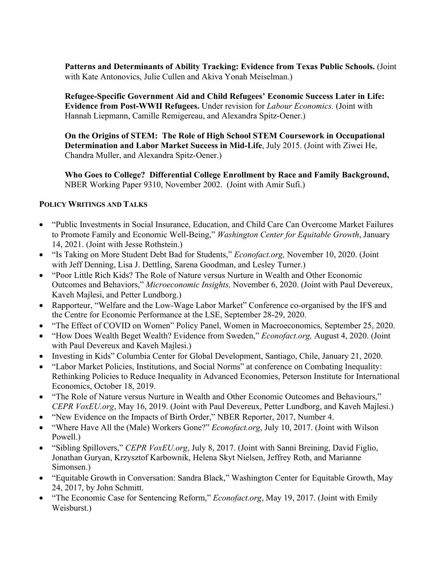Patterns and Determinants of Ability Tracking: Evidence from Texas Public Schools. (Joint with Kate Antonovics, Julie Cullen and Akiva Yonah Meiselman.)

**Refugee-Specific Government Aid and Child Refugees' Economic Success Later in Life: Evidence from Post-WWII Refugees.** Under revision for *Labour Economics.* (Joint with Hannah Liepmann, Camille Remigereau, and Alexandra Spitz-Oener.)

**On the Origins of STEM: The Role of High School STEM Coursework in Occupational Determination and Labor Market Success in Mid-Life**, July 2015. (Joint with Ziwei He, Chandra Muller, and Alexandra Spitz-Oener.)

**Who Goes to College? Differential College Enrollment by Race and Family Background,** NBER Working Paper 9310, November 2002. (Joint with Amir Sufi.)

# **POLICY WRITINGS AND TALKS**

- "Public Investments in Social Insurance, Education, and Child Care Can Overcome Market Failures to Promote Family and Economic Well-Being," *Washington Center for Equitable Growth*, January 14, 2021. (Joint with Jesse Rothstein.)
- "Is Taking on More Student Debt Bad for Students," *Econofact.org,* November 10, 2020. (Joint with Jeff Denning, Lisa J. Dettling, Sarena Goodman, and Lesley Turner.)
- "Poor Little Rich Kids? The Role of Nature versus Nurture in Wealth and Other Economic Outcomes and Behaviors," *Microeconomic Insights,* November 6, 2020. (Joint with Paul Devereux, Kaveh Majlesi, and Petter Lundborg.)
- Rapporteur, "Welfare and the Low-Wage Labor Market" Conference co-organised by the IFS and the Centre for Economic Performance at the LSE, September 28-29, 2020.
- "The Effect of COVID on Women" Policy Panel, Women in Macroeconomics, September 25, 2020.
- "How Does Wealth Beget Wealth? Evidence from Sweden," *Econofact.org,* August 4, 2020. (Joint with Paul Devereux and Kaveh Majlesi.)
- Investing in Kids" Columbia Center for Global Development, Santiago, Chile, January 21, 2020.
- "Labor Market Policies, Institutions, and Social Norms" at conference on Combating Inequality: Rethinking Policies to Reduce Inequality in Advanced Economies, Peterson Institute for International Economics, October 18, 2019.
- "The Role of Nature versus Nurture in Wealth and Other Economic Outcomes and Behaviours," *CEPR VoxEU.org*, May 16, 2019. (Joint with Paul Devereux, Petter Lundborg, and Kaveh Majlesi.)
- "New Evidence on the Impacts of Birth Order," NBER Reporter, 2017, Number 4.
- "Where Have All the (Male) Workers Gone?" *Econofact.org*, July 10, 2017. (Joint with Wilson Powell.)
- "Sibling Spillovers," *CEPR VoxEU.org*, July 8, 2017. (Joint with Sanni Breining, David Figlio, Jonathan Guryan, Krzysztof Karbownik, Helena Skyt Nielsen, Jeffrey Roth, and Marianne Simonsen.)
- "Equitable Growth in Conversation: Sandra Black," Washington Center for Equitable Growth, May 24, 2017, by John Schmitt.
- "The Economic Case for Sentencing Reform," *Econofact.org*, May 19, 2017. (Joint with Emily Weisburst.)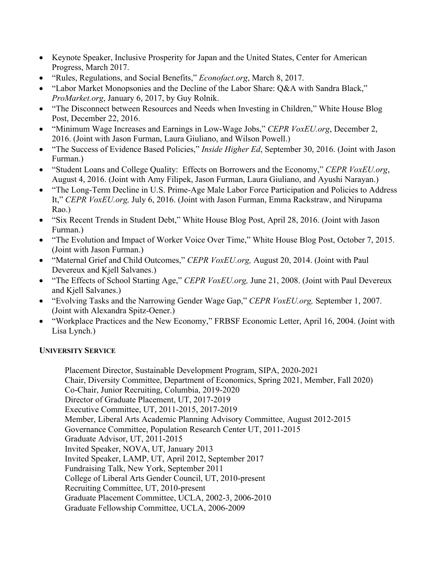- Keynote Speaker, Inclusive Prosperity for Japan and the United States, Center for American Progress, March 2017.
- "Rules, Regulations, and Social Benefits," *Econofact.org*, March 8, 2017.
- "Labor Market Monopsonies and the Decline of the Labor Share: Q&A with Sandra Black," *ProMarket.org*, January 6, 2017, by Guy Rolnik.
- "The Disconnect between Resources and Needs when Investing in Children," White House Blog Post, December 22, 2016.
- "Minimum Wage Increases and Earnings in Low-Wage Jobs," *CEPR VoxEU.org*, December 2, 2016. (Joint with Jason Furman, Laura Giuliano, and Wilson Powell.)
- "The Success of Evidence Based Policies," *Inside Higher Ed*, September 30, 2016. (Joint with Jason Furman.)
- "Student Loans and College Quality: Effects on Borrowers and the Economy," *CEPR VoxEU.org*, August 4, 2016. (Joint with Amy Filipek, Jason Furman, Laura Giuliano, and Ayushi Narayan.)
- "The Long-Term Decline in U.S. Prime-Age Male Labor Force Participation and Policies to Address It," *CEPR VoxEU.org,* July 6, 2016. (Joint with Jason Furman, Emma Rackstraw, and Nirupama Rao.)
- "Six Recent Trends in Student Debt," White House Blog Post, April 28, 2016. (Joint with Jason Furman.)
- "The Evolution and Impact of Worker Voice Over Time," White House Blog Post, October 7, 2015. (Joint with Jason Furman.)
- "Maternal Grief and Child Outcomes," *CEPR VoxEU.org,* August 20, 2014. (Joint with Paul Devereux and Kjell Salvanes.)
- "The Effects of School Starting Age," *CEPR VoxEU.org,* June 21, 2008. (Joint with Paul Devereux and Kjell Salvanes.)
- "Evolving Tasks and the Narrowing Gender Wage Gap," *CEPR VoxEU.org,* September 1, 2007. (Joint with Alexandra Spitz-Oener.)
- "Workplace Practices and the New Economy," FRBSF Economic Letter, April 16, 2004. (Joint with Lisa Lynch.)

# **UNIVERSITY SERVICE**

Placement Director, Sustainable Development Program, SIPA, 2020-2021 Chair, Diversity Committee, Department of Economics, Spring 2021, Member, Fall 2020) Co-Chair, Junior Recruiting, Columbia, 2019-2020 Director of Graduate Placement, UT, 2017-2019 Executive Committee, UT, 2011-2015, 2017-2019 Member, Liberal Arts Academic Planning Advisory Committee, August 2012-2015 Governance Committee, Population Research Center UT, 2011-2015 Graduate Advisor, UT, 2011-2015 Invited Speaker, NOVA, UT, January 2013 Invited Speaker, LAMP, UT, April 2012, September 2017 Fundraising Talk, New York, September 2011 College of Liberal Arts Gender Council, UT, 2010-present Recruiting Committee, UT, 2010-present Graduate Placement Committee, UCLA, 2002-3, 2006-2010 Graduate Fellowship Committee, UCLA, 2006-2009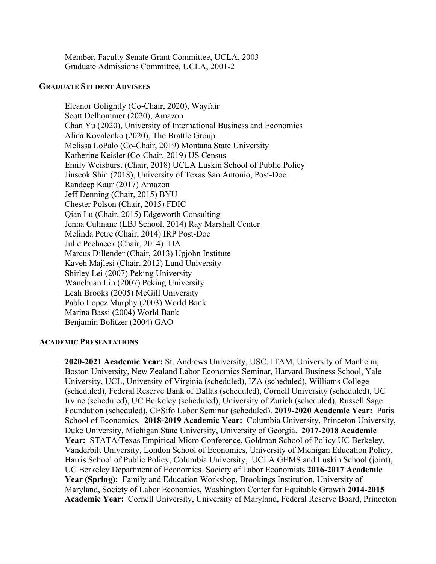Member, Faculty Senate Grant Committee, UCLA, 2003 Graduate Admissions Committee, UCLA, 2001-2

#### **GRADUATE STUDENT ADVISEES**

Eleanor Golightly (Co-Chair, 2020), Wayfair Scott Delhommer (2020), Amazon Chan Yu (2020), University of International Business and Economics Alina Kovalenko (2020), The Brattle Group Melissa LoPalo (Co-Chair, 2019) Montana State University Katherine Keisler (Co-Chair, 2019) US Census Emily Weisburst (Chair, 2018) UCLA Luskin School of Public Policy Jinseok Shin (2018), University of Texas San Antonio, Post-Doc Randeep Kaur (2017) Amazon Jeff Denning (Chair, 2015) BYU Chester Polson (Chair, 2015) FDIC Qian Lu (Chair, 2015) Edgeworth Consulting Jenna Culinane (LBJ School, 2014) Ray Marshall Center Melinda Petre (Chair, 2014) IRP Post-Doc Julie Pechacek (Chair, 2014) IDA Marcus Dillender (Chair, 2013) Upjohn Institute Kaveh Majlesi (Chair, 2012) Lund University Shirley Lei (2007) Peking University Wanchuan Lin (2007) Peking University Leah Brooks (2005) McGill University Pablo Lopez Murphy (2003) World Bank Marina Bassi (2004) World Bank Benjamin Bolitzer (2004) GAO

#### **ACADEMIC PRESENTATIONS**

**2020-2021 Academic Year:** St. Andrews University, USC, ITAM, University of Manheim, Boston University, New Zealand Labor Economics Seminar, Harvard Business School, Yale University, UCL, University of Virginia (scheduled), IZA (scheduled), Williams College (scheduled), Federal Reserve Bank of Dallas (scheduled), Cornell University (scheduled), UC Irvine (scheduled), UC Berkeley (scheduled), University of Zurich (scheduled), Russell Sage Foundation (scheduled), CESifo Labor Seminar (scheduled). **2019-2020 Academic Year:** Paris School of Economics. **2018-2019 Academic Year:** Columbia University, Princeton University, Duke University, Michigan State University, University of Georgia. **2017-2018 Academic Year:** STATA/Texas Empirical Micro Conference, Goldman School of Policy UC Berkeley, Vanderbilt University, London School of Economics, University of Michigan Education Policy, Harris School of Public Policy, Columbia University, UCLA GEMS and Luskin School (joint), UC Berkeley Department of Economics, Society of Labor Economists **2016-2017 Academic Year (Spring):** Family and Education Workshop, Brookings Institution, University of Maryland, Society of Labor Economics, Washington Center for Equitable Growth **2014-2015 Academic Year:** Cornell University, University of Maryland, Federal Reserve Board, Princeton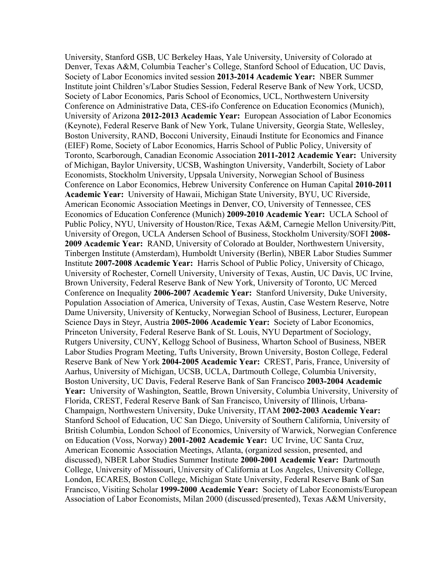University, Stanford GSB, UC Berkeley Haas, Yale University, University of Colorado at Denver, Texas A&M, Columbia Teacher's College, Stanford School of Education, UC Davis, Society of Labor Economics invited session **2013-2014 Academic Year:** NBER Summer Institute joint Children's/Labor Studies Session, Federal Reserve Bank of New York, UCSD, Society of Labor Economics, Paris School of Economics, UCL, Northwestern University Conference on Administrative Data, CES-ifo Conference on Education Economics (Munich), University of Arizona **2012-2013 Academic Year:** European Association of Labor Economics (Keynote), Federal Reserve Bank of New York, Tulane University, Georgia State, Wellesley, Boston University, RAND, Bocconi University, Einaudi Institute for Economics and Finance (EIEF) Rome, Society of Labor Economics, Harris School of Public Policy, University of Toronto, Scarborough, Canadian Economic Association **2011-2012 Academic Year:** University of Michigan, Baylor University, UCSB, Washington University, Vanderbilt, Society of Labor Economists, Stockholm University, Uppsala University, Norwegian School of Business Conference on Labor Economics, Hebrew University Conference on Human Capital **2010-2011 Academic Year:** University of Hawaii, Michigan State University, BYU, UC Riverside, American Economic Association Meetings in Denver, CO, University of Tennessee, CES Economics of Education Conference (Munich) **2009-2010 Academic Year:** UCLA School of Public Policy, NYU, University of Houston/Rice, Texas A&M, Carnegie Mellon University/Pitt, University of Oregon, UCLA Andersen School of Business, Stockholm University/SOFI **2008- 2009 Academic Year:** RAND, University of Colorado at Boulder, Northwestern University, Tinbergen Institute (Amsterdam), Humboldt University (Berlin), NBER Labor Studies Summer Institute **2007-2008 Academic Year:** Harris School of Public Policy, University of Chicago, University of Rochester, Cornell University, University of Texas, Austin, UC Davis, UC Irvine, Brown University, Federal Reserve Bank of New York, University of Toronto, UC Merced Conference on Inequality **2006-2007 Academic Year:** Stanford University, Duke University, Population Association of America, University of Texas, Austin, Case Western Reserve, Notre Dame University, University of Kentucky, Norwegian School of Business, Lecturer, European Science Days in Steyr, Austria **2005-2006 Academic Year:** Society of Labor Economics, Princeton University, Federal Reserve Bank of St. Louis, NYU Department of Sociology, Rutgers University, CUNY, Kellogg School of Business, Wharton School of Business, NBER Labor Studies Program Meeting, Tufts University, Brown University, Boston College, Federal Reserve Bank of New York **2004-2005 Academic Year:** CREST, Paris, France, University of Aarhus, University of Michigan, UCSB, UCLA, Dartmouth College, Columbia University, Boston University, UC Davis, Federal Reserve Bank of San Francisco **2003-2004 Academic Year:** University of Washington, Seattle, Brown University, Columbia University, University of Florida, CREST, Federal Reserve Bank of San Francisco, University of Illinois, Urbana-Champaign, Northwestern University, Duke University, ITAM **2002-2003 Academic Year:** Stanford School of Education, UC San Diego, University of Southern California, University of British Columbia, London School of Economics, University of Warwick, Norwegian Conference on Education (Voss, Norway) **2001-2002 Academic Year:** UC Irvine, UC Santa Cruz, American Economic Association Meetings, Atlanta, (organized session, presented, and discussed), NBER Labor Studies Summer Institute **2000-2001 Academic Year:** Dartmouth College, University of Missouri, University of California at Los Angeles, University College, London, ECARES, Boston College, Michigan State University, Federal Reserve Bank of San Francisco, Visiting Scholar **1999-2000 Academic Year:** Society of Labor Economists/European Association of Labor Economists, Milan 2000 (discussed/presented), Texas A&M University,